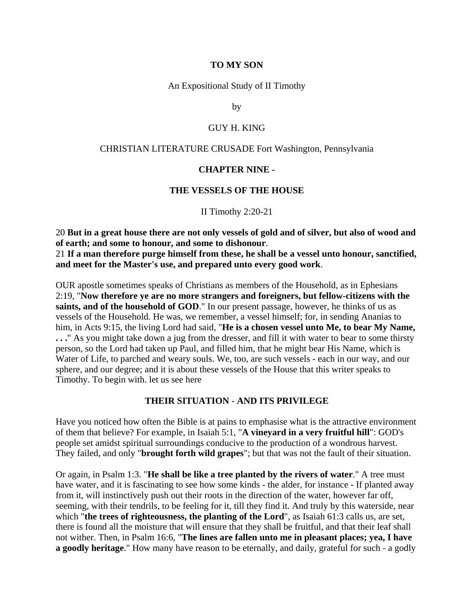## **TO MY SON**

#### An Expositional Study of II Timothy

by

#### GUY H. KING

#### CHRISTIAN LITERATURE CRUSADE Fort Washington, Pennsylvania

#### **CHAPTER NINE -**

#### **THE VESSELS OF THE HOUSE**

II Timothy 2:20-21

20 **But in a great house there are not only vessels of gold and of silver, but also of wood and of earth; and some to honour, and some to dishonour**.

21 **If a man therefore purge himself from these, he shall be a vessel unto honour, sanctified, and meet for the Master's use, and prepared unto every good work**.

OUR apostle sometimes speaks of Christians as members of the Household, as in Ephesians 2:19, "**Now therefore ye are no more strangers and foreigners, but fellow-citizens with the saints, and of the household of GOD**." In our present passage, however, he thinks of us as vessels of the Household. He was, we remember, a vessel himself; for, in sending Ananias to him, in Acts 9:15, the living Lord had said, "**He is a chosen vessel unto Me, to bear My Name, . . .**" As you might take down a jug from the dresser, and fill it with water to bear to some thirsty person, so the Lord had taken up Paul, and filled him, that he might bear His Name, which is Water of Life, to parched and weary souls. We, too, are such vessels - each in our way, and our sphere, and our degree; and it is about these vessels of the House that this writer speaks to Timothy. To begin with. let us see here

#### **THEIR SITUATION - AND ITS PRIVILEGE**

Have you noticed how often the Bible is at pains to emphasise what is the attractive environment of them that believe? For example, in Isaiah 5:1, "**A vineyard in a very fruitful hill**": GOD's people set amidst spiritual surroundings conducive to the production of a wondrous harvest. They failed, and only "**brought forth wild grapes**"; but that was not the fault of their situation.

Or again, in Psalm 1:3. "**He shall be like a tree planted by the rivers of water**." A tree must have water, and it is fascinating to see how some kinds - the alder, for instance - If planted away from it, will instinctively push out their roots in the direction of the water, however far off, seeming, with their tendrils, to be feeling for it, till they find it. And truly by this waterside, near which "**the trees of righteousness, the planting of the Lord**", as Isaiah 61:3 calls us, are set, there is found all the moisture that will ensure that they shall be fruitful, and that their leaf shall not wither. Then, in Psalm 16:6, "**The lines are fallen unto me in pleasant places; yea, I have a goodly heritage**." How many have reason to be eternally, and daily, grateful for such - a godly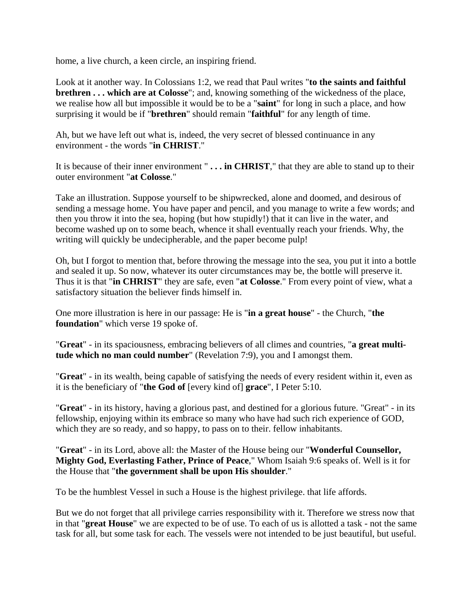home, a live church, a keen circle, an inspiring friend.

Look at it another way. In Colossians 1:2, we read that Paul writes "**to the saints and faithful brethren . . . which are at Colosse**"; and, knowing something of the wickedness of the place, we realise how all but impossible it would be to be a "**saint**" for long in such a place, and how surprising it would be if "**brethren**" should remain "**faithful**" for any length of time.

Ah, but we have left out what is, indeed, the very secret of blessed continuance in any environment - the words "**in CHRIST**."

It is because of their inner environment " **. . . in CHRIST**," that they are able to stand up to their outer environment "**at Colosse**."

Take an illustration. Suppose yourself to be shipwrecked, alone and doomed, and desirous of sending a message home. You have paper and pencil, and you manage to write a few words; and then you throw it into the sea, hoping (but how stupidly!) that it can live in the water, and become washed up on to some beach, whence it shall eventually reach your friends. Why, the writing will quickly be undecipherable, and the paper become pulp!

Oh, but I forgot to mention that, before throwing the message into the sea, you put it into a bottle and sealed it up. So now, whatever its outer circumstances may be, the bottle will preserve it. Thus it is that "**in CHRIST**" they are safe, even "**at Colosse**." From every point of view, what a satisfactory situation the believer finds himself in.

One more illustration is here in our passage: He is "**in a great house**" - the Church, "**the foundation**" which verse 19 spoke of.

"**Great**" - in its spaciousness, embracing believers of all climes and countries, "**a great multitude which no man could number**" (Revelation 7:9), you and I amongst them.

"**Great**" - in its wealth, being capable of satisfying the needs of every resident within it, even as it is the beneficiary of "**the God of** [every kind of] **grace**", I Peter 5:10.

"**Great**" - in its history, having a glorious past, and destined for a glorious future. "Great" - in its fellowship, enjoying within its embrace so many who have had such rich experience of GOD, which they are so ready, and so happy, to pass on to their. fellow inhabitants.

"**Great**" - in its Lord, above all: the Master of the House being our "**Wonderful Counsellor, Mighty God, Everlasting Father, Prince of Peace**," Whom Isaiah 9:6 speaks of. Well is it for the House that "**the government shall be upon His shoulder**."

To be the humblest Vessel in such a House is the highest privilege. that life affords.

But we do not forget that all privilege carries responsibility with it. Therefore we stress now that in that "**great House**" we are expected to be of use. To each of us is allotted a task - not the same task for all, but some task for each. The vessels were not intended to be just beautiful, but useful.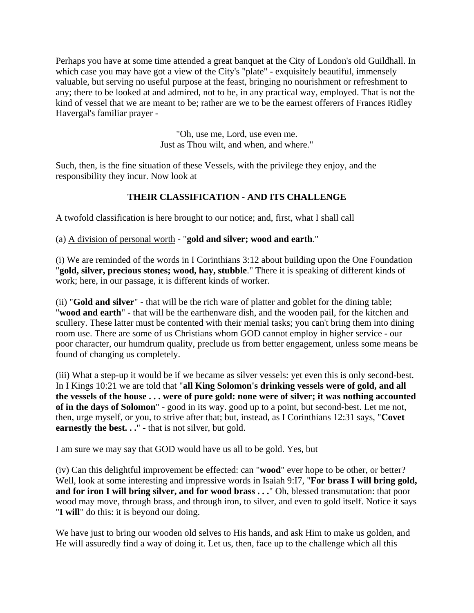Perhaps you have at some time attended a great banquet at the City of London's old Guildhall. In which case you may have got a view of the City's "plate" - exquisitely beautiful, immensely valuable, but serving no useful purpose at the feast, bringing no nourishment or refreshment to any; there to be looked at and admired, not to be, in any practical way, employed. That is not the kind of vessel that we are meant to be; rather are we to be the earnest offerers of Frances Ridley Havergal's familiar prayer -

> "Oh, use me, Lord, use even me. Just as Thou wilt, and when, and where."

Such, then, is the fine situation of these Vessels, with the privilege they enjoy, and the responsibility they incur. Now look at

# **THEIR CLASSIFICATION - AND ITS CHALLENGE**

A twofold classification is here brought to our notice; and, first, what I shall call

# (a) A division of personal worth - "**gold and silver; wood and earth**."

(i) We are reminded of the words in I Corinthians 3:12 about building upon the One Foundation "**gold, silver, precious stones; wood, hay, stubble**." There it is speaking of different kinds of work; here, in our passage, it is different kinds of worker.

(ii) "**Gold and silver**" - that will be the rich ware of platter and goblet for the dining table; "**wood and earth**" - that will be the earthenware dish, and the wooden pail, for the kitchen and scullery. These latter must be contented with their menial tasks; you can't bring them into dining room use. There are some of us Christians whom GOD cannot employ in higher service - our poor character, our humdrum quality, preclude us from better engagement, unless some means be found of changing us completely.

(iii) What a step-up it would be if we became as silver vessels: yet even this is only second-best. In I Kings 10:21 we are told that "**all King Solomon's drinking vessels were of gold, and all the vessels of the house . . . were of pure gold: none were of silver; it was nothing accounted of in the days of Solomon**" - good in its way. good up to a point, but second-best. Let me not, then, urge myself, or you, to strive after that; but, instead, as I Corinthians 12:31 says, "**Covet earnestly the best...**" - that is not silver, but gold.

I am sure we may say that GOD would have us all to be gold. Yes, but

(iv) Can this delightful improvement be effected: can "**wood**" ever hope to be other, or better? Well, look at some interesting and impressive words in Isaiah 9:17, "**For brass I will bring gold, and for iron I will bring silver, and for wood brass . . .**" Oh, blessed transmutation: that poor wood may move, through brass, and through iron, to silver, and even to gold itself. Notice it says "**I will**" do this: it is beyond our doing.

We have just to bring our wooden old selves to His hands, and ask Him to make us golden, and He will assuredly find a way of doing it. Let us, then, face up to the challenge which all this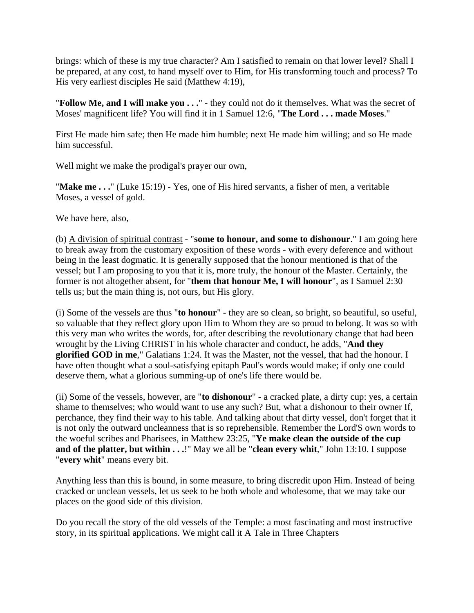brings: which of these is my true character? Am I satisfied to remain on that lower level? Shall I be prepared, at any cost, to hand myself over to Him, for His transforming touch and process? To His very earliest disciples He said (Matthew 4:19),

"**Follow Me, and I will make you . . .**" - they could not do it themselves. What was the secret of Moses' magnificent life? You will find it in 1 Samuel 12:6, "**The Lord . . . made Moses**."

First He made him safe; then He made him humble; next He made him willing; and so He made him successful.

Well might we make the prodigal's prayer our own,

"**Make me...**" (Luke 15:19) - Yes, one of His hired servants, a fisher of men, a veritable Moses, a vessel of gold.

We have here, also,

(b) A division of spiritual contrast - "**some to honour, and some to dishonour**." I am going here to break away from the customary exposition of these words - with every deference and without being in the least dogmatic. It is generally supposed that the honour mentioned is that of the vessel; but I am proposing to you that it is, more truly, the honour of the Master. Certainly, the former is not altogether absent, for "**them that honour Me, I will honour**", as I Samuel 2:30 tells us; but the main thing is, not ours, but His glory.

(i) Some of the vessels are thus "**to honour**" - they are so clean, so bright, so beautiful, so useful, so valuable that they reflect glory upon Him to Whom they are so proud to belong. It was so with this very man who writes the words, for, after describing the revolutionary change that had been wrought by the Living CHRIST in his whole character and conduct, he adds, "**And they glorified GOD in me**," Galatians 1:24. It was the Master, not the vessel, that had the honour. I have often thought what a soul-satisfying epitaph Paul's words would make; if only one could deserve them, what a glorious summing-up of one's life there would be.

(ii) Some of the vessels, however, are "**to dishonour**" - a cracked plate, a dirty cup: yes, a certain shame to themselves; who would want to use any such? But, what a dishonour to their owner If, perchance, they find their way to his table. And talking about that dirty vessel, don't forget that it is not only the outward uncleanness that is so reprehensible. Remember the Lord'S own words to the woeful scribes and Pharisees, in Matthew 23:25, "**Ye make clean the outside of the cup and of the platter, but within . . .**!" May we all be "**clean every whit**," John 13:10. I suppose "**every whit**" means every bit.

Anything less than this is bound, in some measure, to bring discredit upon Him. Instead of being cracked or unclean vessels, let us seek to be both whole and wholesome, that we may take our places on the good side of this division.

Do you recall the story of the old vessels of the Temple: a most fascinating and most instructive story, in its spiritual applications. We might call it A Tale in Three Chapters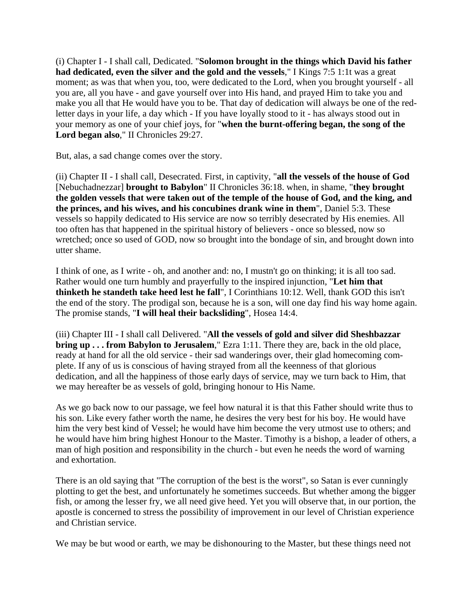(i) Chapter I - I shall call, Dedicated. "**Solomon brought in the things which David his father had dedicated, even the silver and the gold and the vessels**," I Kings 7:5 1:1t was a great moment; as was that when you, too, were dedicated to the Lord, when you brought yourself - all you are, all you have - and gave yourself over into His hand, and prayed Him to take you and make you all that He would have you to be. That day of dedication will always be one of the redletter days in your life, a day which - If you have loyally stood to it - has always stood out in your memory as one of your chief joys, for "**when the burnt-offering began, the song of the Lord began also**," II Chronicles 29:27.

But, alas, a sad change comes over the story.

(ii) Chapter II - I shall call, Desecrated. First, in captivity, "**all the vessels of the house of God** [Nebuchadnezzar] **brought to Babylon**" II Chronicles 36:18. when, in shame, "**they brought the golden vessels that were taken out of the temple of the house of God, and the king, and the princes, and his wives, and his concubines drank wine in them**", Daniel 5:3. These vessels so happily dedicated to His service are now so terribly desecrated by His enemies. All too often has that happened in the spiritual history of believers - once so blessed, now so wretched; once so used of GOD, now so brought into the bondage of sin, and brought down into utter shame.

I think of one, as I write - oh, and another and: no, I mustn't go on thinking; it is all too sad. Rather would one turn humbly and prayerfully to the inspired injunction, "**Let him that thinketh he standeth take heed lest he fall**", I Corinthians 10:12. Well, thank GOD this isn't the end of the story. The prodigal son, because he is a son, will one day find his way home again. The promise stands, "**I will heal their backsliding**", Hosea 14:4.

(iii) Chapter III - I shall call Delivered. "**All the vessels of gold and silver did Sheshbazzar bring up . . . from Babylon to Jerusalem**," Ezra 1:11. There they are, back in the old place, ready at hand for all the old service - their sad wanderings over, their glad homecoming complete. If any of us is conscious of having strayed from all the keenness of that glorious dedication, and all the happiness of those early days of service, may we turn back to Him, that we may hereafter be as vessels of gold, bringing honour to His Name.

As we go back now to our passage, we feel how natural it is that this Father should write thus to his son. Like every father worth the name, he desires the very best for his boy. He would have him the very best kind of Vessel; he would have him become the very utmost use to others; and he would have him bring highest Honour to the Master. Timothy is a bishop, a leader of others, a man of high position and responsibility in the church - but even he needs the word of warning and exhortation.

There is an old saying that "The corruption of the best is the worst", so Satan is ever cunningly plotting to get the best, and unfortunately he sometimes succeeds. But whether among the bigger fish, or among the lesser fry, we all need give heed. Yet you will observe that, in our portion, the apostle is concerned to stress the possibility of improvement in our level of Christian experience and Christian service.

We may be but wood or earth, we may be dishonouring to the Master, but these things need not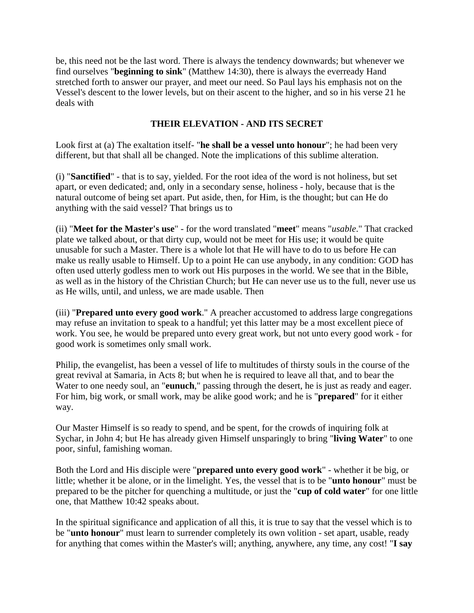be, this need not be the last word. There is always the tendency downwards; but whenever we find ourselves "**beginning to sink**" (Matthew 14:30), there is always the everready Hand stretched forth to answer our prayer, and meet our need. So Paul lays his emphasis not on the Vessel's descent to the lower levels, but on their ascent to the higher, and so in his verse 21 he deals with

## **THEIR ELEVATION - AND ITS SECRET**

Look first at (a) The exaltation itself- "**he shall be a vessel unto honour**"; he had been very different, but that shall all be changed. Note the implications of this sublime alteration.

(i) "**Sanctified**" - that is to say, yielded. For the root idea of the word is not holiness, but set apart, or even dedicated; and, only in a secondary sense, holiness - holy, because that is the natural outcome of being set apart. Put aside, then, for Him, is the thought; but can He do anything with the said vessel? That brings us to

(ii) "**Meet for the Master's use**" - for the word translated "**meet**" means "*usable*." That cracked plate we talked about, or that dirty cup, would not be meet for His use; it would be quite unusable for such a Master. There is a whole lot that He will have to do to us before He can make us really usable to Himself. Up to a point He can use anybody, in any condition: GOD has often used utterly godless men to work out His purposes in the world. We see that in the Bible, as well as in the history of the Christian Church; but He can never use us to the full, never use us as He wills, until, and unless, we are made usable. Then

(iii) "**Prepared unto every good work**." A preacher accustomed to address large congregations may refuse an invitation to speak to a handful; yet this latter may be a most excellent piece of work. You see, he would be prepared unto every great work, but not unto every good work - for good work is sometimes only small work.

Philip, the evangelist, has been a vessel of life to multitudes of thirsty souls in the course of the great revival at Samaria, in Acts 8; but when he is required to leave all that, and to bear the Water to one needy soul, an "**eunuch**," passing through the desert, he is just as ready and eager. For him, big work, or small work, may be alike good work; and he is "**prepared**" for it either way.

Our Master Himself is so ready to spend, and be spent, for the crowds of inquiring folk at Sychar, in John 4; but He has already given Himself unsparingly to bring "**living Water**" to one poor, sinful, famishing woman.

Both the Lord and His disciple were "**prepared unto every good work**" - whether it be big, or little; whether it be alone, or in the limelight. Yes, the vessel that is to be "**unto honour**" must be prepared to be the pitcher for quenching a multitude, or just the "**cup of cold water**" for one little one, that Matthew 10:42 speaks about.

In the spiritual significance and application of all this, it is true to say that the vessel which is to be "**unto honour**" must learn to surrender completely its own volition - set apart, usable, ready for anything that comes within the Master's will; anything, anywhere, any time, any cost! "**I say**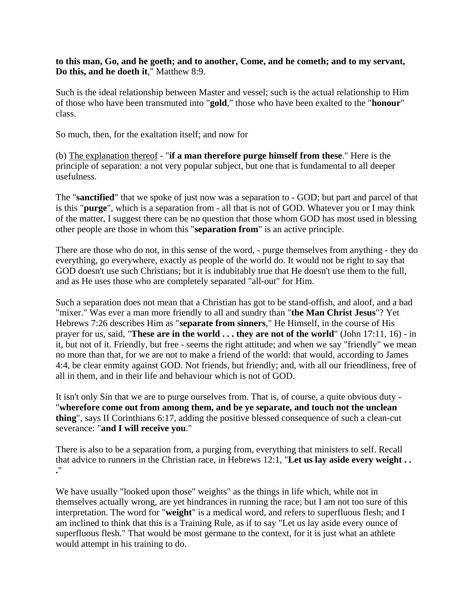## **to this man, Go, and he goeth; and to another, Come, and he cometh; and to my servant, Do this, and he doeth it**," Matthew 8:9.

Such is the ideal relationship between Master and vessel; such is the actual relationship to Him of those who have been transmuted into "**gold**," those who have been exalted to the "**honour**" class.

So much, then, for the exaltation itself; and now for

(b) The explanation thereof - "**if a man therefore purge himself from these**." Here is the principle of separation: a not very popular subject, but one that is fundamental to all deeper usefulness.

The "**sanctified**" that we spoke of just now was a separation to - GOD; but part and parcel of that is this "**purge**", which is a separation from - all that is not of GOD. Whatever you or I may think of the matter, I suggest there can be no question that those whom GOD has most used in blessing other people are those in whom this "**separation from**" is an active principle.

There are those who do not, in this sense of the word, - purge themselves from anything - they do everything, go everywhere, exactly as people of the world do. It would not be right to say that GOD doesn't use such Christians; but it is indubitably true that He doesn't use them to the full, and as He uses those who are completely separated "all-out" for Him.

Such a separation does not mean that a Christian has got to be stand-offish, and aloof, and a bad "mixer." Was ever a man more friendly to all and sundry than "**the Man Christ Jesus**"? Yet Hebrews 7:26 describes Him as "**separate from sinners**," He Himself, in the course of His prayer for us, said, "**These are in the world . . . they are not of the world**" (John 17:11, 16) - in it, but not of it. Friendly, but free - seems the right attitude; and when we say "friendly" we mean no more than that, for we are not to make a friend of the world: that would, according to James 4:4, be clear enmity against GOD. Not friends, but friendly; and, with all our friendliness, free of all in them, and in their life and behaviour which is not of GOD.

It isn't only Sin that we are to purge ourselves from. That is, of course, a quite obvious duty - "**wherefore come out from among them, and be ye separate, and touch not the unclean thing**", says II Corinthians 6:17, adding the positive blessed consequence of such a clean-cut severance: "**and I will receive you**."

There is also to be a separation from, a purging from, everything that ministers to self. Recall that advice to runners in the Christian race, in Hebrews 12:1, "**Let us lay aside every weight . . .**"

We have usually "looked upon those" weights" as the things in life which, while not in themselves actually wrong, are yet hindrances in running the race; but I am not too sure of this interpretation. The word for "**weight**" is a medical word, and refers to superfluous flesh; and I am inclined to think that this is a Training Rule, as if to say "Let us lay aside every ounce of superfluous flesh." That would be most germane to the context, for it is just what an athlete would attempt in his training to do.